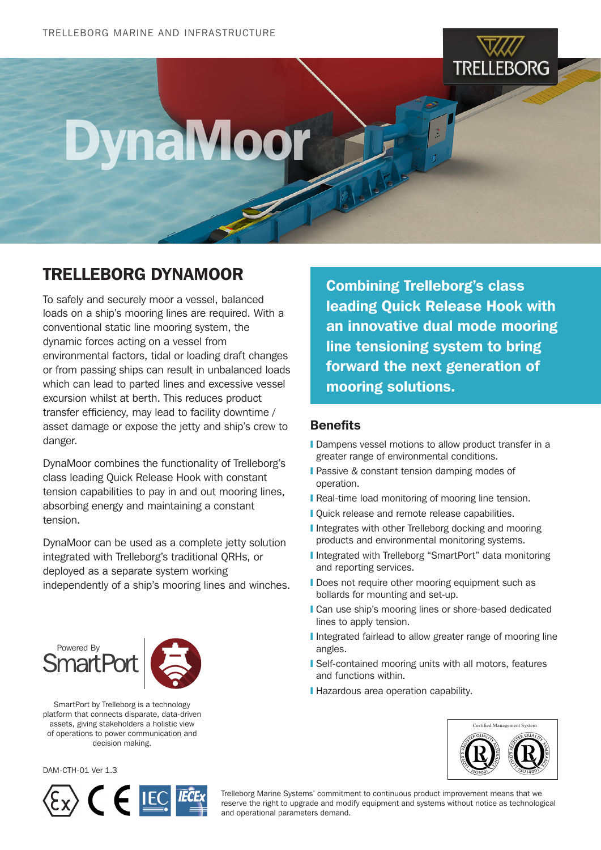

## DynaMoor

## TRELLEBORG DYNAMOOR

To safely and securely moor a vessel, balanced loads on a ship's mooring lines are required. With a conventional static line mooring system, the dynamic forces acting on a vessel from environmental factors, tidal or loading draft changes or from passing ships can result in unbalanced loads which can lead to parted lines and excessive vessel excursion whilst at berth. This reduces product transfer efficiency, may lead to facility downtime / asset damage or expose the jetty and ship's crew to danger.

DynaMoor combines the functionality of Trelleborg's class leading Quick Release Hook with constant tension capabilities to pay in and out mooring lines, absorbing energy and maintaining a constant tension.

DynaMoor can be used as a complete jetty solution integrated with Trelleborg's traditional QRHs, or deployed as a separate system working independently of a ship's mooring lines and winches.

Powered By

SmartPort by Trelleborg is a technology platform that connects disparate, data-driven assets, giving stakeholders a holistic view of operations to power communication and decision making.

DAM-CTH-01 Ver 1.3



Combining Trelleborg's class leading Quick Release Hook with an innovative dual mode mooring line tensioning system to bring forward the next generation of mooring solutions.

## **Benefits**

- **I** Dampens vessel motions to allow product transfer in a greater range of environmental conditions.
- **I** Passive & constant tension damping modes of operation.
- **I** Real-time load monitoring of mooring line tension.
- **I** Quick release and remote release capabilities.
- **I** Integrates with other Trelleborg docking and mooring products and environmental monitoring systems.
- **I** Integrated with Trelleborg "SmartPort" data monitoring and reporting services.
- **I** Does not require other mooring equipment such as bollards for mounting and set-up.
- **I** Can use ship's mooring lines or shore-based dedicated lines to apply tension.
- **I** Integrated fairlead to allow greater range of mooring line angles.
- ❙ Self-contained mooring units with all motors, features and functions within.
- **I** Hazardous area operation capability.



Trelleborg Marine Systems' commitment to continuous product improvement means that we reserve the right to upgrade and modify equipment and systems without notice as technological and operational parameters demand.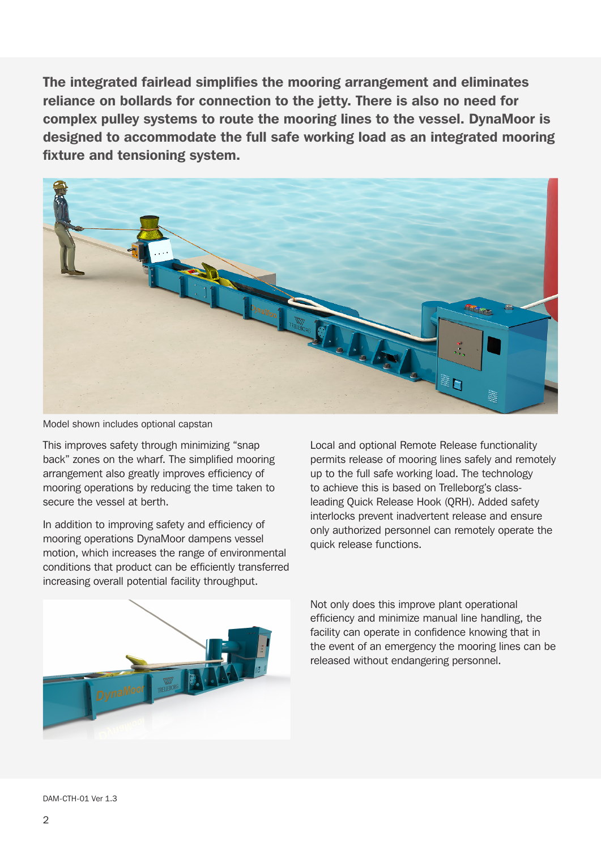The integrated fairlead simplifies the mooring arrangement and eliminates reliance on bollards for connection to the jetty. There is also no need for complex pulley systems to route the mooring lines to the vessel. DynaMoor is designed to accommodate the full safe working load as an integrated mooring fixture and tensioning system.



Model shown includes optional capstan

This improves safety through minimizing "snap back" zones on the wharf. The simplified mooring arrangement also greatly improves efficiency of mooring operations by reducing the time taken to secure the vessel at berth.

In addition to improving safety and efficiency of mooring operations DynaMoor dampens vessel motion, which increases the range of environmental conditions that product can be efficiently transferred increasing overall potential facility throughput.

Local and optional Remote Release functionality permits release of mooring lines safely and remotely up to the full safe working load. The technology to achieve this is based on Trelleborg's classleading Quick Release Hook (QRH). Added safety interlocks prevent inadvertent release and ensure only authorized personnel can remotely operate the quick release functions.



Not only does this improve plant operational efficiency and minimize manual line handling, the facility can operate in confidence knowing that in the event of an emergency the mooring lines can be released without endangering personnel.

DAM-CTH-01 Ver 1.3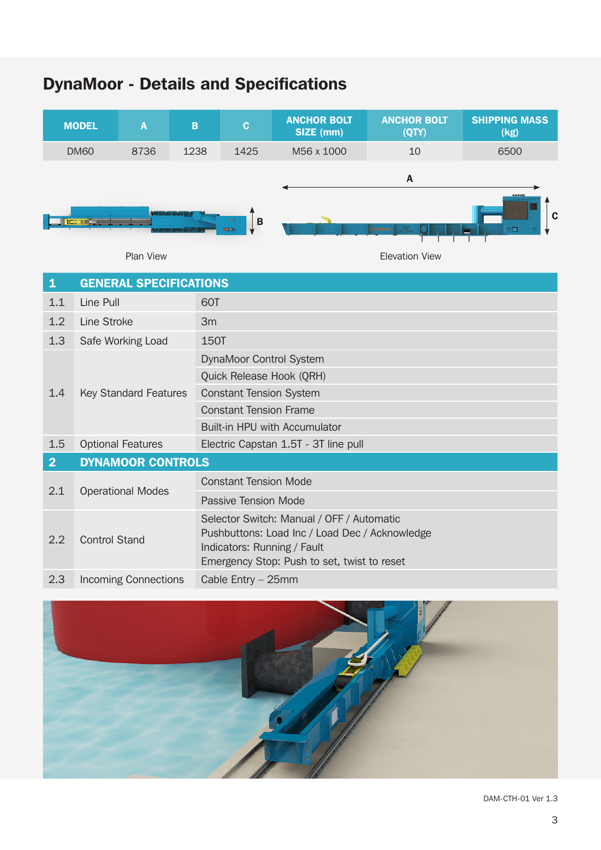## DynaMoor - Details and Specifications





DAM-CTH-01 Ver 1.3